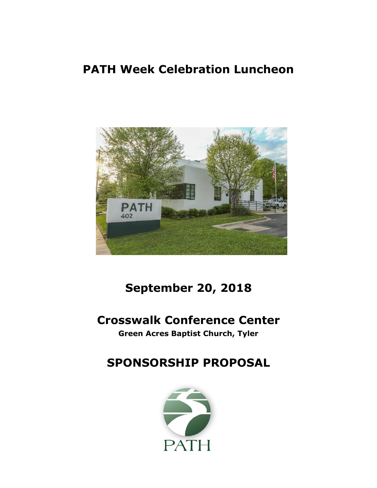# **PATH Week Celebration Luncheon**



# **September 20, 2018**

## **Crosswalk Conference Center**

**Green Acres Baptist Church, Tyler**

# **SPONSORSHIP PROPOSAL**

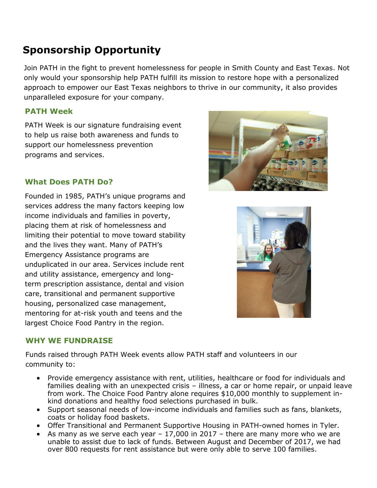## **Sponsorship Opportunity**

Join PATH in the fight to prevent homelessness for people in Smith County and East Texas. Not only would your sponsorship help PATH fulfill its mission to restore hope with a personalized approach to empower our East Texas neighbors to thrive in our community, it also provides unparalleled exposure for your company.

#### **PATH Week**

PATH Week is our signature fundraising event to help us raise both awareness and funds to support our homelessness prevention programs and services.

#### **What Does PATH Do?**

Founded in 1985, PATH's unique programs and services address the many factors keeping low income individuals and families in poverty, placing them at risk of homelessness and limiting their potential to move toward stability and the lives they want. Many of PATH's Emergency Assistance programs are unduplicated in our area. Services include rent and utility assistance, emergency and longterm prescription assistance, dental and vision care, transitional and permanent supportive housing, personalized case management, mentoring for at-risk youth and teens and the largest Choice Food Pantry in the region.





#### **WHY WE FUNDRAISE**

Funds raised through PATH Week events allow PATH staff and volunteers in our community to:

- Provide emergency assistance with rent, utilities, healthcare or food for individuals and families dealing with an unexpected crisis – illness, a car or home repair, or unpaid leave from work. The Choice Food Pantry alone requires \$10,000 monthly to supplement inkind donations and healthy food selections purchased in bulk.
- Support seasonal needs of low-income individuals and families such as fans, blankets, coats or holiday food baskets.
- Offer Transitional and Permanent Supportive Housing in PATH-owned homes in Tyler.
- As many as we serve each year  $-17,000$  in 2017 there are many more who we are unable to assist due to lack of funds. Between August and December of 2017, we had over 800 requests for rent assistance but were only able to serve 100 families.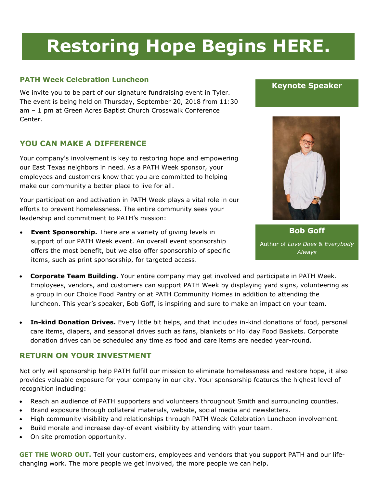# **Restoring Hope Begins HERE.**

#### **PATH Week Celebration Luncheon**

We invite you to be part of our signature fundraising event in Tyler. The event is being held on Thursday, September 20, 2018 from 11:30 am – 1 pm at Green Acres Baptist Church Crosswalk Conference Center.

#### **YOU CAN MAKE A DIFFERENCE**

Your company's involvement is key to restoring hope and empowering our East Texas neighbors in need. As a PATH Week sponsor, your employees and customers know that you are committed to helping make our community a better place to live for all.

Your participation and activation in PATH Week plays a vital role in our efforts to prevent homelessness. The entire community sees your leadership and commitment to PATH's mission:

 **Event Sponsorship.** There are a variety of giving levels in support of our PATH Week event. An overall event sponsorship offers the most benefit, but we also offer sponsorship of specific items, such as print sponsorship, for targeted access.





**Bob Goff** Author of *Love Does* & *Everybody Always*

- **Corporate Team Building.** Your entire company may get involved and participate in PATH Week. Employees, vendors, and customers can support PATH Week by displaying yard signs, volunteering as a group in our Choice Food Pantry or at PATH Community Homes in addition to attending the luncheon. This year's speaker, Bob Goff, is inspiring and sure to make an impact on your team.
- **In-kind Donation Drives.** Every little bit helps, and that includes in-kind donations of food, personal care items, diapers, and seasonal drives such as fans, blankets or Holiday Food Baskets. Corporate donation drives can be scheduled any time as food and care items are needed year-round.

#### **RETURN ON YOUR INVESTMENT**

Not only will sponsorship help PATH fulfill our mission to eliminate homelessness and restore hope, it also provides valuable exposure for your company in our city. Your sponsorship features the highest level of recognition including:

- Reach an audience of PATH supporters and volunteers throughout Smith and surrounding counties.
- Brand exposure through collateral materials, website, social media and newsletters.
- High community visibility and relationships through PATH Week Celebration Luncheon involvement.
- Build morale and increase day-of event visibility by attending with your team.
- On site promotion opportunity.

**GET THE WORD OUT.** Tell your customers, employees and vendors that you support PATH and our lifechanging work. The more people we get involved, the more people we can help.